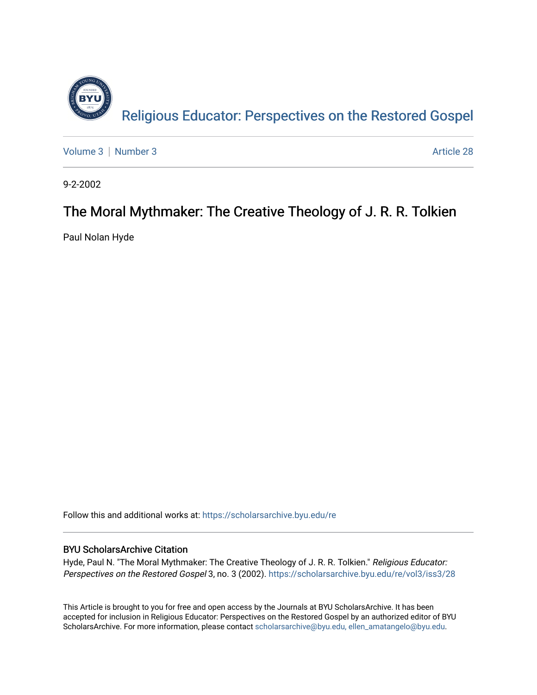

[Volume 3](https://scholarsarchive.byu.edu/re/vol3) | [Number 3](https://scholarsarchive.byu.edu/re/vol3/iss3) Article 28

9-2-2002

#### The Moral Mythmaker: The Creative Theology of J. R. R. Tolkien

Paul Nolan Hyde

Follow this and additional works at: [https://scholarsarchive.byu.edu/re](https://scholarsarchive.byu.edu/re?utm_source=scholarsarchive.byu.edu%2Fre%2Fvol3%2Fiss3%2F28&utm_medium=PDF&utm_campaign=PDFCoverPages)

#### BYU ScholarsArchive Citation

Hyde, Paul N. "The Moral Mythmaker: The Creative Theology of J. R. R. Tolkien." Religious Educator: Perspectives on the Restored Gospel 3, no. 3 (2002). https://scholarsarchive.byu.edu/re/vol3/iss3/28

This Article is brought to you for free and open access by the Journals at BYU ScholarsArchive. It has been accepted for inclusion in Religious Educator: Perspectives on the Restored Gospel by an authorized editor of BYU ScholarsArchive. For more information, please contact [scholarsarchive@byu.edu, ellen\\_amatangelo@byu.edu.](mailto:scholarsarchive@byu.edu,%20ellen_amatangelo@byu.edu)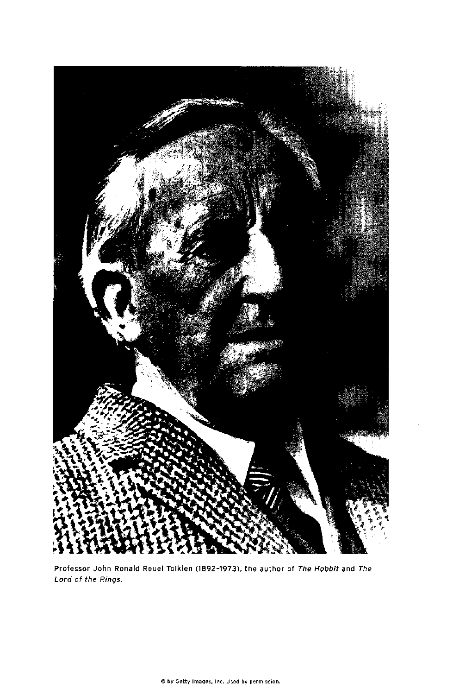

Professor John Ronald Reuel Tolkien (1892-1973), the author of The Hobbit and The Lord of the Rings.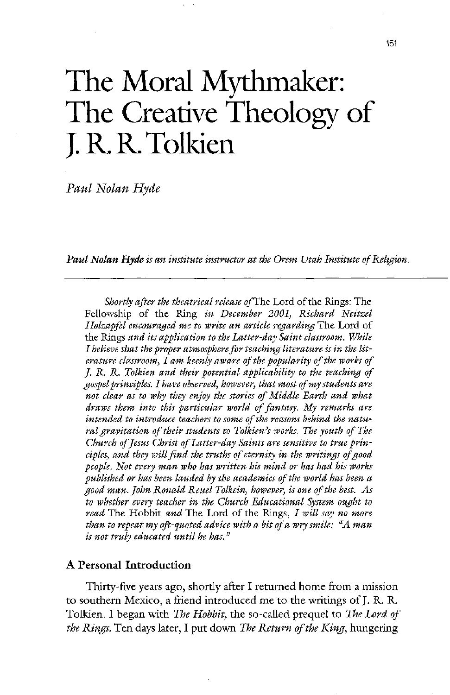# The Moral Mythmaker: The Creative Theology of J. R. R. Tolkien

Paul Nolan Hyde

Paul Nolan Hyde is an institute instructor at the Orem Utah Institute of Religion.

Shortly after the theatrical release of The Lord of the Rings: The Fellowship of the Ring in December 2001, Richard Neitzel Holzapfel encouraged me to write an article regarding The Lord of the Rings and its application to the Latter-day Saint classroom. While I believe that the proper atmosphere for teaching literature is in the literature classroom, I am keenly aware of the popularity of the works of J. R. R. Tolkien and their potential applicability to the teaching of gospel principles. I have observed, however, that most of my students are not clear as to why they enjoy the stories of Middle Earth and what draws them into this particular world of fantasy. My remarks are intended to introduce teachers to some of the reasons behind the natural gravitation of their students to Tolkien's works. The youth of The Church of Jesus Christ of Latter-day Saints are sensitive to true principles, and they will find the truths of eternity in the writings of good people. Not every man who has written his mind or has had his works published or has been lauded by the academics of the world has been a good man. John Ronald Reuel Tolkein, however, is one of the best. As to whether every teacher in the Church Educational System ought to read The Hobbit and The Lord of the Rings, I will say no more than to repeat my oft-quoted advice with a bit of a wry smile:  $\mathscr A$  man is not truly educated until he has."

# A Personal Introduction

Thirty-five years ago, shortly after I returned home from a mission to southern Mexico, a friend introduced me to the writings of J. R. R. Tolkien. I began with *The Hobbit*, the so-called prequel to The Lord of the Rings. Ten days later, I put down The Return of the King, hungering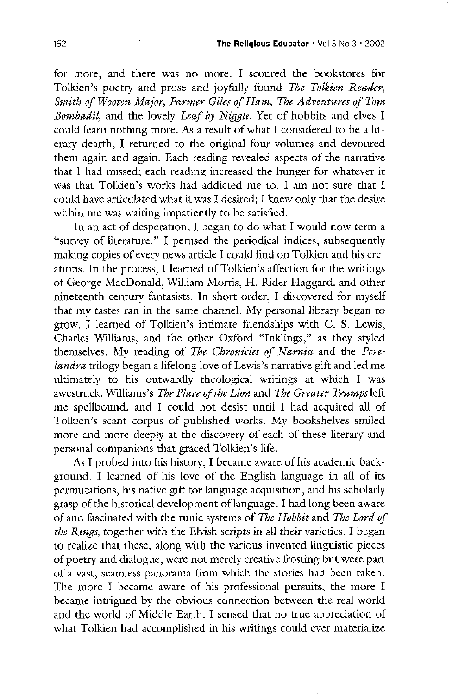for more, and there was no more. I scoured the bookstores for Tolkien's poetry and prose and joyfully found The Tolkien Reader, Smith of Wooten Major, Farmer Giles of Ham, The Adventures of Tom Bombadil, and the lovely Leaf by Niggle. Yet of hobbits and elves I could learn nothing more. As a result of what I considered to be a literary dearth, I returned to the original four volumes and devoured them again and again. Each reading revealed aspects of the narrative that I had missed; each reading increased the hunger for whatever it was that Tolkien's works had addicted me to. I am not sure that I could have articulated what it was I desired; I knew only that the desire within me was waiting impatiently to be satisfied.

In an act of desperation, I began to do what I would now term a "survey of literature." I perused the periodical indices, subsequently making copies of every news article I could find on Tolkien and his creations. In the process, I learned of Tolkien's affection for the writings of George MacDonald, William Morris, H. Rider Haggard, and other nineteenth-century fantasists. In short order, I discovered for myself that my tastes ran in the same channel. My personal library began to grow. I learned of Tolkien's intimate friendships with C. S. Lewis, Charles Williams, and the other Oxford "Inklings," as they styled themselves. My reading of The Chronicles of Narnia and the Perelandra trilogy began a lifelong love of Lewis's narrative gift and led me ultimately to his outwardly theological writings at which  $I$  was awestruck. Williams's The Place of the Lion and The Greater Trumps left me spellbound, and I could not desist until I had acquired all of Tolkien's scant corpus of published works. My bookshelves smiled more and more deeply at the discovery of each of these literary and personal companions that graced Tolkien's life. As I probed into his history, I became aware of his academic background. I learned of his love of the English language in all of its permutations, his native gift for language acquisition, and his scholarly grasp of the historical development of language. I had long been aware of and fascinated with the runic systems of The Hobbit and The Lord of the Rings, together with the Elvish scripts in all their varieties. I began to realize that these, along with the various invented linguistic pieces of poetry and dialogue, were not merely creative frosting but were part of a vast, seamless panorama from which the stories had been taken. The more I became aware of his professional pursuits, the more I became intrigued by the obvious connection between the real world and the world of Middle Earth. I sensed that no true appreciation of what Tolkien had accomplished in his writings could ever materialize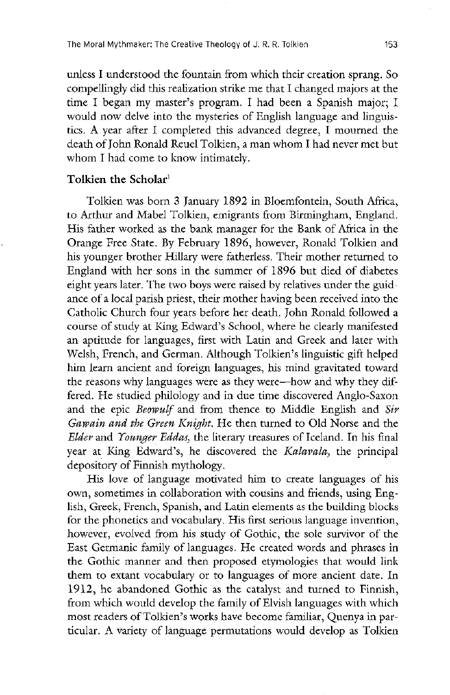unless I understood the fountain from which their creation sprang. So compellingly did this realization strike me that I changed majors at the time I began my master's program. I had been a Spanish major; I would now delve into the mysteries of English language and linguistics. A year after I completed this advanced degree, I mourned the death of John Ronald Reuel Tolkien, a man whom I had never met but whom I had come to know intimately.

## Tolkien the Scholar $1$

Tolkien was born 3 January 1892 in Bloemfontein, South Africa, to Arthur and Mabel Tolkien, emigrants from Birmingham, England. His father worked as the bank manager for the Bank of Africa in the Orange Free State. By February 1896, however, Ronald Tolkien and his younger brother Hillary were fatherless. Their mother returned to England with her sons in the summer of 1896 but died of diabetes eight years later. The two boys were raised by relatives under the guidance of a local parish priest, their mother having been received into the Catholic Church four years before her death. John Ronald followed a course of study at King Edward's School, where he clearly manifested an aptitude for languages, first with Latin and Greek and later with Welsh, French, and German. Although Tolkien's linguistic gift helped him learn ancient and foreign languages, his mind gravitated toward the reasons why languages were as they were—how and why they differed. He studied philology and in due time discovered Anglo-Saxon and the epic *Beowulf* and from thence to Middle English and Sir Gawain and the Green Knight. He then turned to Old Norse and the Elder and Younger Eddas, the literary treasures of Iceland. In his final year at King Edward's, he discovered the Kalavala, the principal depository of Finnish mythology. His love of language motivated him to create languages of his own, sometimes in collaboration with cousins and friends, using English, Greek, French, Spanish, and Latin elements as the building blocks for the phonetics and vocabulary. His first serious language invention, however, evolved from his study of Gothic, the sole survivor of the East Germanic family of languages. He created words and phrases in the gothic manner and then proposed etymologies that would link them to extant vocabulary or to languages of more ancient date. In 1912, he abandoned Gothic as the catalyst and turned to Finnish, from which would develop the family of Elvish languages with which most readers of Tolkien's works have become familiar, Quenya in particular. A variety of language permutations would develop as Tolkien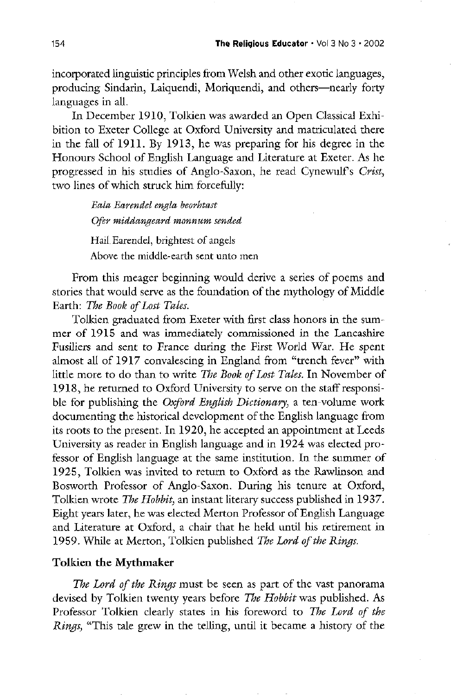incorporated linguistic principles from welsh and other exotic languages producing Sindarin, Laiquendi, Moriquendi, and others—nearly forty languages in all

In December 1910, Tolkien was awarded an Open Classical Exhibition to Exeter College at Oxford University and matriculated there in the fall of 1911. By 1913, he was preparing for his degree in the Honours School of English Language and Literature at Exeter. As he progressed in his studies of Anglo-Saxon, he read Cynewulf's Crist, two lines of which struck him forcefully

> Eala Earendel engla beorhtast Ofer middangeard monnum sended

Hail Earendel, brightest of angels

Above the middle-earth sent unto men

from this meager beginning would derive a series of poems and stories that would serve as the foundation of the mythology of Middle Earth: The Book of Lost Tales.

Tolkien graduated from Exeter with first class honors in the summer of 1915 and was immediately commissioned in the lancashire Fusiliers and sent to France during the First World War. He spent almost all of 1917 convalescing in England from "trench fever" with little more to do than to write The Book of Lost Tales. In November of 1918, he returned to Oxford University to serve on the staff responsible for publishing the Oxford English Dictionary, a ten-volume work documenting the historical development of the English language from its roots to the present. In 1920, he accepted an appointment at Leeds University as reader in English language and in 1924 was elected professor of English language at the same institution. In the summer of 1925, Tolkien was invited to return to Oxford as the Rawlinson and Bosworth Professor of Anglo-Saxon. During his tenure at Oxford, Tolkien wrote The Hobbit, an instant literary success published in 1937. Eight years later, he was elected Merton Professor of English Language and Literature at Oxford, a chair that he held until his retirement in 1959. While at Merton, Tolkien published *The Lord of the Rings* 

# Tolkien the Mythmaker

The Lord of the Rings must be seen as part of the vast panorama devised by Tolkien twenty years before The Hobbit was published. As Professor Tolkien clearly states in his foreword to The Lord of the Rings, "This tale grew in the telling, until it became a history of the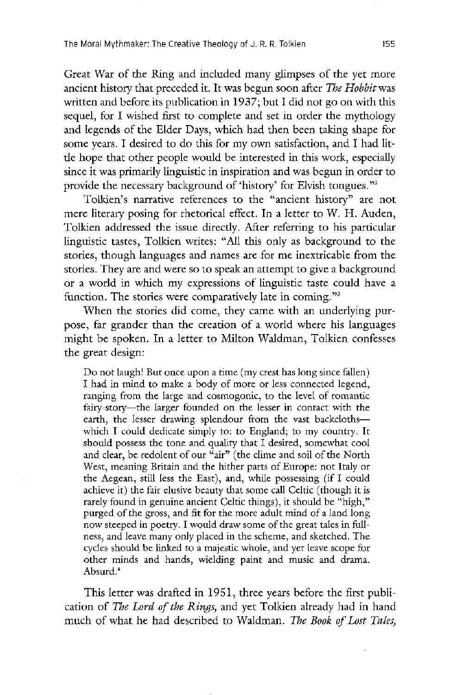The Moral Mythmaker: The Creative Theology of J. R. R. Tolkien 155

Great War of the Ring and included many glimpses of the yet more ancient history that preceded it. It was begun soon after The Hobbit was written and before its publication in  $1937$ ; but I did not go on with this sequel, for I wished first to complete and set in order the mythology and legends of the Elder Days, which had then been taking shape for some years. I desired to do this for my own satisfaction, and I had little hope that other people would be interested in this work, especially since it was primarily linguistic in inspiration and was begun in order to provide the necessary background of 'history' for Elvish tongues."<sup>2</sup>

Tolkien's narrative references to the "ancient history" are not mere literary posing for rhetorical effect. In a letter to W. H. Auden, Tolkien addressed the issue directly. After referring to his particular linguistic tastes, Tolkien writes: "All this only as background to the stories, though languages and names are for me inextricable from the stories. They are and were so to speak an attempt to give a background or a world in which my expressions of linguistic taste could have a function. The stories were comparatively late in coming." $3^3$ 

When the stories did come, they came with an underlying purpose, far grander than the creation of a world where his languages might be spoken. In a letter to Milton Waldman, Tolkien confesses the great design

Do not laugh! But once upon a time (my crest has long since fallen) I had in mind to make a body of more or less connected legend, ranging from the large and cosmogonic, to the level of romantic fairy-story—the larger founded on the lesser in contact with the earth, the lesser drawing splendour from the vast backclothswhich I could dedicate simply to: to England; to my country. It should possess the tone and quality that I desired, somewhat cool and clear, be redolent of our "air" (the clime and soil of the North West, meaning Britain and the hither parts of Europe: not Italy or the Aegean, still less the East), and, while possessing  $(fI\ could$ achieve it) the fair elusive beauty that some call Celtic (though it is rarely found in genuine ancient Celtic things), it should be "high," purged of the gross, and fit for the more adult mind of a land long now steeped in poetry. I would draw some of the great tales in fullness, and leave many only placed in the scheme, and sketched. The cycles should be linked to a majestic whole, and yet leave scope for other minds and hands, wielding paint and music and drama. Absurd.<sup>4</sup>

This letter was drafted in 1951, three years before the first publication of The Lord of the Rings, and yet Tolkien already had in hand much of what he had described to Waldman. The Book of Lost Tales,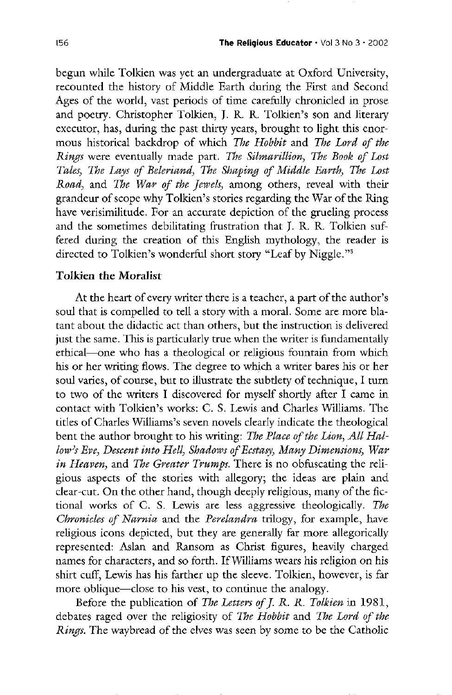begun while Tolkien was yet an undergraduate at Oxford University, recounted the history of Middle Earth during the First and Second Ages of the world, vast periods of time carefully chronicled in prose and poetry. Christopher Tolkien, J. R. R. Tolkien's son and literary executor, has, during the past thirty years, brought to light this enormous historical backdrop of which The Hobbit and The Lord of the Rings were eventually made part. The Silmarillion, The Book of Lost Tales, The Lays of Beleriand, The Shaping of Middle Earth, The Lost Road, and The War of the Jewels, among others, reveal with their grandeur of scope why Tolkien's stories regarding the War of the Ring have verisimilitude. For an accurate depiction of the grueling process and the sometimes debilitating frustration that J. R. R. Tolkien suffered during the creation of this English mythology, the reader is directed to Tolkien's wonderful short story "Leaf by Niggle."<sup>5</sup>

#### Tolkien the Moralist

At the heart of every writer there is a teacher, a part of the author's soul that is compelled to tell a story with a moral. Some are more blatant about the didactic act than others, but the instruction is delivered just the same. This is particularly true when the writer is fundamentally ethical—one who has a theological or religious fountain from which his or her writing flows. The degree to which a writer bares his or her soul varies, of course, but to illustrate the subtlety of technique, I turn to two of the writers I discovered for myself shortly after I came in contact with Tolkien's works: C. S. Lewis and Charles Williams. The titles of Charles Williams's seven novels clearly indicate the theological bent the author brought to his writing: The Place of the Lion, All Hallow's Eve, Descent into Hell, Shadows of Ecstasy, Many Dimensions, War in Heaven, and The Greater Trumps. There is no obfuscating the religious aspects of the stories with allegory; the ideas are plain and clear-cut. On the other hand, though deeply religious, many of the fictional works of C. S. Lewis are less aggressive theologically. The Chronicles of Narnia and the Perelandra trilogy, for example, have religious icons depicted, but they are generally far more allegorically represented: Aslan and Ransom as Christ figures, heavily charged names for characters, and so forth. If Williams wears his religion on his shirt cuff, Lewis has his farther up the sleeve. Tolkien, however, is far more oblique—close to his vest, to continue the analogy. Before the publication of The Letters of J. R. R. Tolkien in 1981, debates raged over the religiosity of The Hobbit and The Lord of the Rings. The waybread of the elves was seen by some to be the Catholic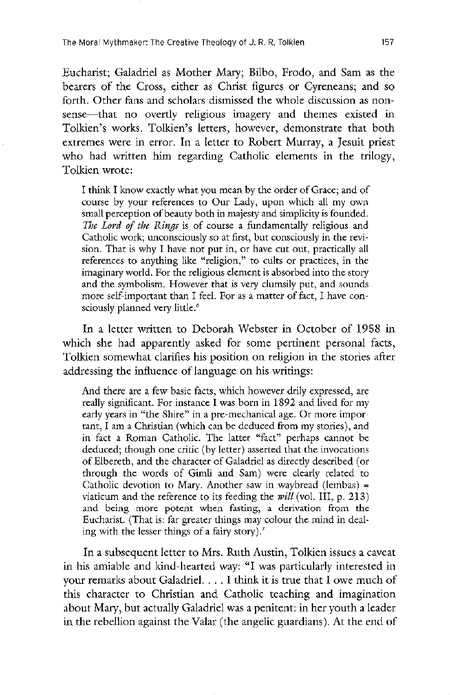Eucharist; Galadriel as Mother Mary; Bilbo, Frodo, and Sam as the bearers of the Cross, either as Christ figures or Cyreneans; and so forth. Other fans and scholars dismissed the whole discussion as nonsense—that no overtly religious imagery and themes existed in Tolkien's works. Tolkien's letters, however, demonstrate that both extremes were in error. In a letter to Robert Murray, a Jesuit priest who had written him regarding Catholic elements in the trilogy, Tolkien wrote:

I think I know exactly what you mean by the order of Grace; and of course by your references to Our Lady, upon which all my own small perception of beauty both in majesty and simplicity is founded. The Lord of the Rings is of course a fundamentally religious and Catholic work; unconsciously so at first, but consciously in the revision. That is why I have not put in, or have cut out, practically all references to anything like "religion," to cults or practices, in the imaginary world. For the religious element is absorbed into the story and the symbolism. However that is very clumsily put, and sounds more self-important than I feel. For as a matter of fact, I have consciously planned very little.<sup>6</sup>

In a letter written to Deborah Webster in October of 1958 in which she had apparently asked for some pertinent personal facts, Tolkien somewhat clarifies his position on religion in the stories after addressing the influence of language on his writings:

And there are a few basic facts, which however drily expressed, are really significant. For instance I was born in 1892 and lived for my early years in "the Shire" in a pre-mechanical age. Or more important, I am a Christian (which can be deduced from my stories), and in fact a Roman Catholic. The latter "fact" perhaps cannot be deduced; though one critic (by letter) asserted that the invocations of Elbereth, and the character of Galadriel as directly described (or through the words of Gimli and Sam) were clearly related to Catholic devotion to Mary. Another saw in waybread (lembas)  $=$ viaticum and the reference to its feeding the  $will$  (vol. III, p. 213) and being more potent when fasting, a derivation from the Eucharist. (That is: far greater things may colour the mind in dealing with the lesser things of a fairy story).<sup>7</sup>

In a subsequent letter to Mrs. Ruth Austin, Tolkien issues a caveat in his amiable and kind-hearted way: "I was particularly interested in your remarks about Galadriel.  $\ldots$  I think it is true that I owe much of this character to christian and catholic teaching and imagination about Mary, but actually Galadriel was a penitent: in her youth a leader in the rebellion against the Valar (the angelic guardians). At the end of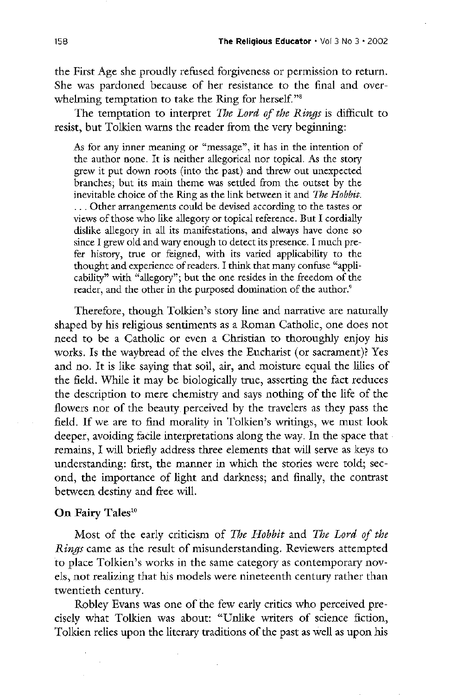the First Age she proudly refused forgiveness or permission to return. she was pardoned because of her resistance to the final and over whelming temptation to take the Ring for herself."<sup>8</sup>

The temptation to interpret The Lord of the Rings is difficult to resist, but Tolkien warns the reader from the very beginning:

As for any inner meaning or "message", it has in the intention of the author none. It is neither allegorical nor topical. As the story grew it put down roots (into the past) and threw out unexpected branches; but its main theme was settled from the outset by the inevitable choice of the Ring as the link between it and The Hobbit. ... Other arrangements could be devised according to the tastes or views of those who like allegory or topical reference. But I cordially dislike allegory in all its manifestations, and always have done so since I grew old and wary enough to detect its presence. I much prefer history, true or feigned, with its varied applicability to the thought and experience of readers. I think that many confuse "applicability" with "allegory"; but the one resides in the freedom of the reader, and the other in the purposed domination of the author.<sup>9</sup>

Therefore, though Tolkien's story line and narrative are naturally shaped by his religious sentiments as a Roman Catholic, one does not need to be a catholic or even a christian to thoroughly enjoy his

works. Is the waybread of the elves the Eucharist (or sacrament)? Yes and no. It is like saying that soil, air, and moisture equal the lilies of the field. While it may be biologically true, asserting the fact reduces the description to mere chemistry and says nothing of the life of the flowers nor of the beauty perceived by the travelers as they pass the field. If we are to find morality in Tolkien's writings, we must look deeper, avoiding facile interpretations along the way. In the space that remains, I will briefly address three elements that will serve as keys to understanding: first, the manner in which the stories were told; second, the importance of light and darkness; and finally, the contrast between destiny and free will

# On Fairy Tales<sup>10</sup>

Most of the early criticism of The Hobbit and The Lord of the Rings came as the result of misunderstanding. Reviewers attempted to place Tolkien's works in the same category as contemporary novels, not realizing that his models were nineteenth century rather than twentieth century

Robley Evans was one of the few early critics who perceived precisely what Tolkien was about: "Unlike writers of science fiction, Tolkien relies upon the literary traditions of the past as well as upon his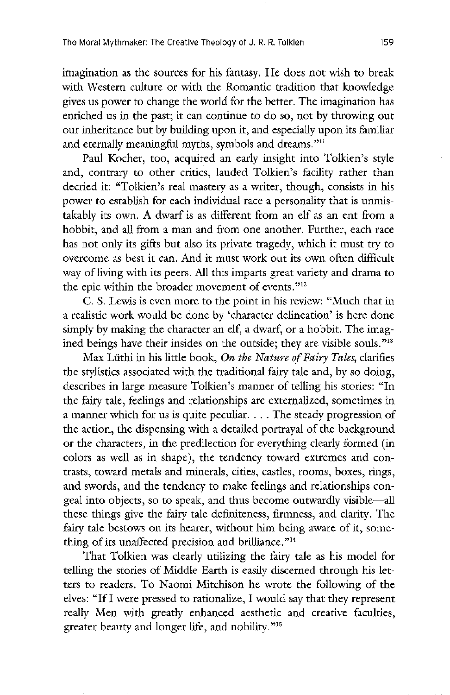imagination as the sources for his fantasy. He does not wish to break with Western culture or with the Romantic tradition that knowledge gives us power to change the world for the better. The imagination has enriched us in the past; it can continue to do so, not by throwing out our inheritance but by building upon it, and especially upon its familiar and eternally meaningful myths, symbols and dreams."<sup>11</sup>

Paul Kocher, too, acquired an early insight into Tolkien's style and, contrary to other critics, lauded Tolkien's facility rather than decried it: "Tolkien's real mastery as a writer, though, consists in his power to establish for each individual race a personality that is unmistakably its own. A dwarf is as different from an elf as an ent from a hobbit, and all from a man and from one another. Further, each race has not only its gifts but also its private tragedy, which it must try to overcome as best it can. And it must work out its own often difficult way of living with its peers. All this imparts great variety and drama to the epic within the broader movement of events."<sup>12</sup>

C. S. Lewis is even more to the point in his review: "Much that in a realistic work would be done by 'character delineation' is here done simply by making the character an elf, a dwarf, or a hobbit. The imagined beings have their insides on the outside; they are visible souls."<sup>13</sup>

Max Lüthi in his little book, On the Nature of Fairy Tales, clarifies the stylistics associated with the traditional fairy tale and, by so doing, describes in large measure Tolkien's manner of telling his stories: "In the fairy tale, feelings and relationships are externalized, sometimes in a manner which for us is quite peculiar.  $\ldots$  The steady progression of the action, the dispensing with a detailed portrayal of the background or the characters, in the predilection for everything clearly formed (in colors as well as in shape), the tendency toward extremes and contrasts, toward metals and minerals, cities, castles, rooms, boxes, rings, and swords, and the tendency to make feelings and relationships congeal into objects, so to speak, and thus become outwardly visible—all these things give the fairy tale definiteness, firmness, and clarity. The fairy tale bestows on its hearer, without him being aware of it, something of its unaffected precision and brilliance. $14$ 

That Tolkien was clearly utilizing the fairy tale as his model for telling the stories of Middle Earth is easily discerned through his letters to readers. To Naomi Mitchison he wrote the following of the elves: "If I were pressed to rationalize, I would say that they represent really Men with greatly enhanced aesthetic and creative faculties, greater beauty and longer life, and nobility."<sup>15</sup>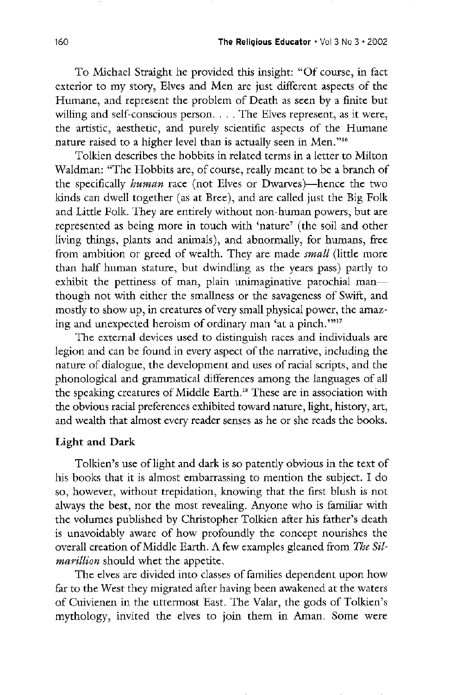To Michael Straight he provided this insight: "Of course, in fact exterior to my story, Elves and Men are just different aspects of the Humane, and represent the problem of Death as seen by a finite but willing and self-conscious person.  $\ldots$  The Elves represent, as it were, the artistic, aesthetic, and purely scientific aspects of the Humane nature raised to a higher level than is actually seen in Men."<sup>16</sup>

Tolkien describes the hobbits in related terms in a letter to Milton Waldman: "The Hobbits are, of course, really meant to be a branch of the specifically human race (not Elves or Dwarves)—hence the two kinds can dwell together (as at Bree), and are called just the Big Folk and Little Folk. They are entirely without non-human powers, but are represented as being more in touch with 'nature' (the soil and other living things, plants and animals), and abnormally, for humans, free from ambition or greed of wealth. They are made *small* (little more than half human stature, but dwindling as the years pass) partly to exhibit the pettiness of man, plain unimaginative parochial man though not with either the smallness or the savageness of Swift, and mostly to show up, in creatures of very small physical power, the amazing and unexpected heroism of ordinary man 'at a pinch.'"<sup>17</sup>

The external devices used to distinguish races and individuals are legion and can be found in every aspect of the narrative, including the nature of dialogue, the development and uses of racial scripts, and the phonological and grammatical differences among the languages of all the speaking creatures of Middle Earth.<sup>18</sup> These are in association with the obvious racial preferences exhibited toward nature, light, history, art, and wealth that almost every reader senses as he or she reads the books

# Light and Dark

Tolkien's use of light and dark is so patently obvious in the text of his books that it is almost embarrassing to mention the subject. I do so, however, without trepidation, knowing that the first blush is not always the best, nor the most revealing. Anyone who is familiar with the volumes published by Christopher Tolkien after his father's death is unavoidably aware of how profoundly the concept nourishes the overall creation of Middle Earth. A few examples gleaned from The Silmarillion should whet the appetite.

The elves are divided into classes of families dependent upon how far to the west they migrated after having been awakened at the waters of Cuivienen in the uttermost East. The Valar, the gods of Tolkien's mythology, invited the elves to join them in Aman. Some were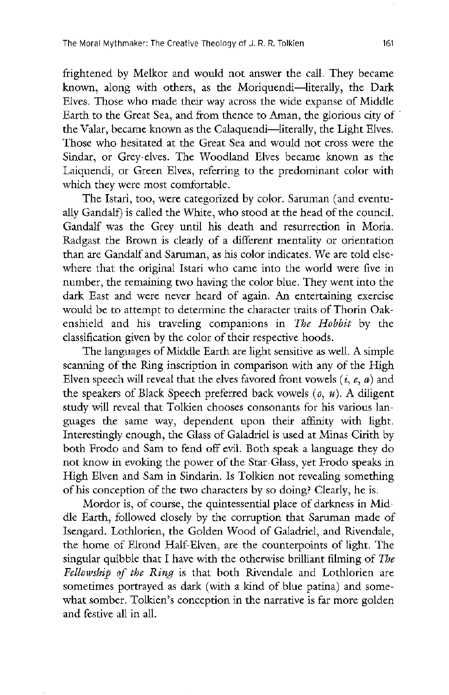frightened by Melkor and would not answer the call. They became known, along with others, as the Moriquendi—literally, the Dark Elves. Those who made their way across the wide expanse of Middle Earth to the Great Sea, and from thence to Aman, the glorious city of the Valar, became known as the Calaquendi—literally, the Light Elves. Those who hesitated at the Great Sea and would not cross were the Sindar, or Grey-elves. The Woodland Elves became known as the Laiquendi, or Green Elves, referring to the predominant color with which they were most comfortable.

The Istari, too, were categorized by color. Saruman (and eventually Gandalf) is called the White, who stood at the head of the council. Gandalf was the Grey until his death and resurrection in Moria. Radgast the Brown is clearly of a different mentality or orientation than are Gandalf and Saruman, as his color indicates. We are told elsewhere that the original Istari who came into the world were five in number, the remaining two having the color blue. They went into the dark East and were never heard of again. An entertaining exercise would be to attempt to determine the character traits of Thorin Oakenshield and his traveling companions in The Hobbit by the classification given by the color of their respective hoods The languages of Middle Earth are light sensitive as well. A simple scanning of the Ring inscription in comparison with any of the High Elven speech will reveal that the elves favored front vowels  $(i, e, a)$  and the speakers of Black Speech preferred back vowels  $(0, u)$ . A diligent study will reveal that Tolkien chooses consonants for his various languages the same way, dependent upon their affinity with light. Interestingly enough, the Glass of Galadriel is used at Minas Cirith by both Frodo and Sam to fend off evil. Both speak a language they do not know in evoking the power of the Star-Glass, yet Frodo speaks in High Elven and Sam in Sindarin. Is Tolkien not revealing something of his conception of the two characters by so doing? Clearly, he is. Mordor is, of course, the quintessential place of darkness in Middle Earth, followed closely by the corruption that Saruman made of Isengard. Lothlorien, the Golden Wood of Galadriel, and Rivendale, the home of Elrond Half-Elven, are the counterpoints of light. The singular quibble that I have with the otherwise brilliant filming of The Fellowship of the Ring is that both Rivendale and Lothlorien are sometimes portrayed as dark (with a kind of blue patina) and somewhat somber. Tolkien's conception in the narrative is far more golden and festive all in all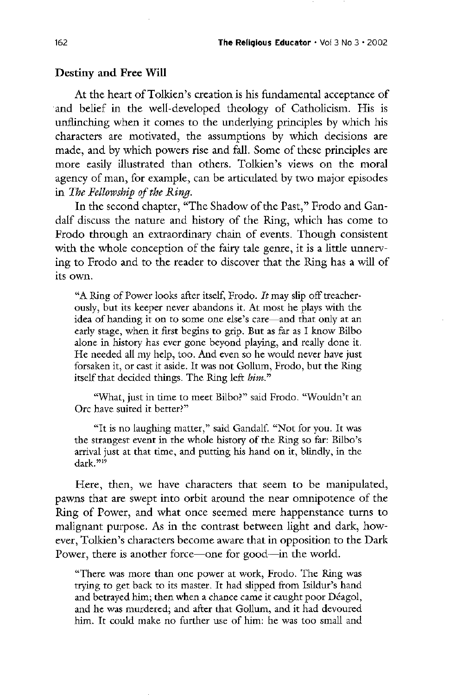### Destiny and Free Will

At the heart of Tolkien's creation is his fundamental acceptance of and belief in the well-developed theology of Catholicism. His is unflinching when it comes to the underlying principles by which his characters are motivated, the assumptions by which decisions are made, and by which powers rise and fall. Some of these principles are more easily illustrated than others. Tolkien's views on the moral agency of man, for example, can be articulated by two major episodes in The Fellowship of the Ring.

In the second chapter, "The Shadow of the Past," Frodo and Gandalf discuss the nature and history of the Ring, which has come to Frodo through an extraordinary chain of events. Though consistent with the whole conception of the fairy tale genre, it is a little unnerving to Frodo and to the reader to discover that the Ring has a will of its own

"A Ring of Power looks after itself, Frodo. It may slip off treacherously, but its keeper never abandons it. At most he plays with the idea of handing it on to some one else's care—and that only at an early stage, when it first begins to grip. But as far as I know Bilbo alone in history has ever gone beyond playing, and really done it. He needed all my help, too. And even so he would never have just forsaken it, or cast it aside. It was not Gollum, Frodo, but the Ring itself that decided things. The Ring left bim."

"What, just in time to meet Bilbo?" said Frodo. "Wouldn't an Orc have suited it better?"

"It is no laughing matter," said Gandalf. "Not for you. It was the strangest event in the whole history of the Ring so far: Bilbo's arrival just at that time, and putting his hand on it, blindly, in the dark."<sup>19</sup>

Here, then, we have characters that seem to be manipulated, pawns that are swept into orbit around the near omnipotence of the Ring of Power, and what once seemed mere happenstance turns to malignant purpose. As in the contrast between light and dark, however, Tolkien's characters become aware that in opposition to the Dark Power, there is another force—one for good—in the world.

"There was more than one power at work, Frodo. The Ring was trying to get back to its master. It had slipped from Isildur's hand and betrayed him; then when a chance came it caught poor Déagol, and he was murdered; and after that Gollum, and it had devoured him. It could make no further use of him: he was too small and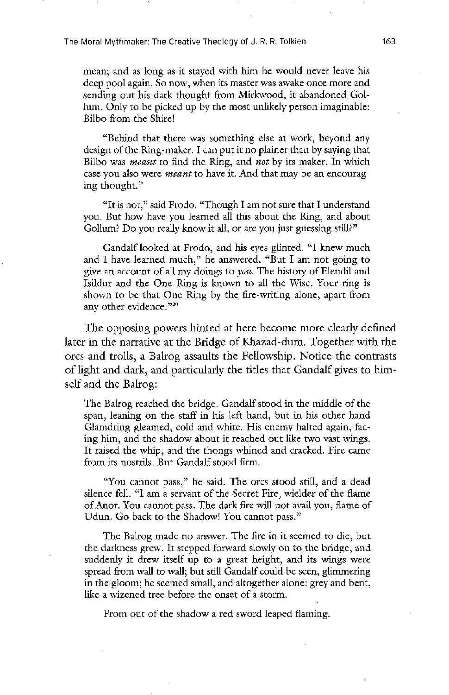The Moral Mythmaker: The Creative Theology of J. R. R. Tolkien 163

mean; and as long as it stayed with him he would never leave his deep pool again. So now, when its master was awake once more and sending out his dark thought from Mirkwood, it abandoned Gollum. Only to be picked up by the most unlikely person imaginable: bilbo from the shire

"Behind that there was something else at work, beyond any design of the Ring-maker. I can put it no plainer than by saying that Bilbo was *meant* to find the Ring, and *not* by its maker. In which case you also were *meant* to have it. And that may be an encouraging thought

"It is not," said Frodo. "Though I am not sure that I understand you. But how have you learned all this about the Ring, and about Gollum? Do you really know it all, or are you just guessing still?"

Gandalf looked at Frodo, and his eyes glinted. "I knew much and I have learned much," he answered. "But I am not going to give an account of all my doings to *you*. The history of Elendil and Isildur and the One Ring is known to all the Wise. Your ring is shown to be that One Ring by the fire-writing alone, apart from any other evidence. $220$ 

The opposing powers hinted at here become more clearly defined later in the narrative at the Bridge of Khazad-dum. Together with the orcs and trolls, a Balrog assaults the Fellowship. Notice the contrasts of light and dark, and particularly the titles that Gandalf gives to himself and the Balrog:

The Balrog reached the bridge. Gandalf stood in the middle of the span, leaning on the staff in his left hand, but in his other hand Glamdring gleamed, cold and white. His enemy halted again, facing him, and the shadow about it reached out like two vast wings. It raised the whip, and the thongs whined and cracked. Fire came from its nostrils. But Gandalf stood firm.

"You cannot pass," he said. The orcs stood still, and a dead silence fell. "I am a servant of the Secret Fire, wielder of the flame of Anor. You cannot pass. The dark fire will not avail you, flame of Udun. Go back to the Shadow! You cannot pass."

The Balrog made no answer. The fire in it seemed to die, but the darkness grew. It stepped forward slowly on to the bridge, and suddenly it drew itself up to a great height, and its wings were spread from wall to wall; but still Gandalf could be seen, glimmering in the gloom; he seemed small, and altogether alone: grey and bent, like a wizened tree before the onset of a storm

From out of the shadow a red sword leaped flaming.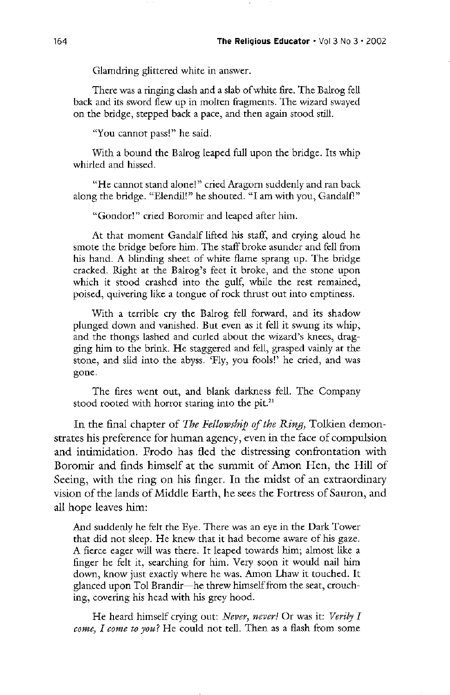Glamdring glittered white in answer.

There was a ringing clash and a slab of white fire. The Balrog fell back and its sword flew up in molten fragments. The wizard swayed on the bridge, stepped back a pace, and then again stood still.

"You cannot pass!" he said.

With a bound the Balrog leaped full upon the bridge. Its whip whirled and hissed

"He cannot stand alone!" cried Aragorn suddenly and ran back along the bridge. "Elendil!" he shouted. "I am with you, Gandalf!

"Gondor!" cried Boromir and leaped after him.

At that moment Gandalf lifted his staff, and crying aloud he smote the bridge before him. The staff broke asunder and fell from his hand. A blinding sheet of white flame sprang up. The bridge cracked. Right at the Balrog's feet it broke, and the stone upon which it stood crashed into the gulf, while the rest remained, poised, quivering like a tongue of rock thrust out into emptiness.

With a terrible cry the Balrog fell forward, and its shadow plunged down and vanished. But even as it fell it swung its whip, and the thongs lashed and curled about the wizard's knees, dragging him to the brink. He staggered and fell, grasped vainly at the stone, and slid into the abyss. 'Fly, you fools!' he cried, and was gone

The fires went out, and blank darkness fell. The Company stood rooted with horror staring into the pit. $21$ 

In the final chapter of The Fellowship of the Ring, Tolkien demonstrates his preference for human agency, even in the face of compulsion and intimidation. Frodo has fled the distressing confrontation with Boromir and finds himself at the summit of Amon Hen, the Hill of Seeing, with the ring on his finger. In the midst of an extraordinary vision of the lands of Middle Earth, he sees the Fortress of Sauron, and all hope leaves him

And suddenly he felt the Eye. There was an eye in the Dark Tower that did not sleep. He knew that it had become aware of his gaze. A fierce eager will was there. It leaped towards him; almost like a finger he felt it, searching for him. Very soon it would nail him down, know just exactly where he was. Amon Lhaw it touched. It glanced upon Tol Brandir—he threw himself from the seat, crouching, covering his head with his grey hood.

He heard himself crying out: Never, never! Or was it: Verily I come, I come to you? He could not tell. Then as a flash from some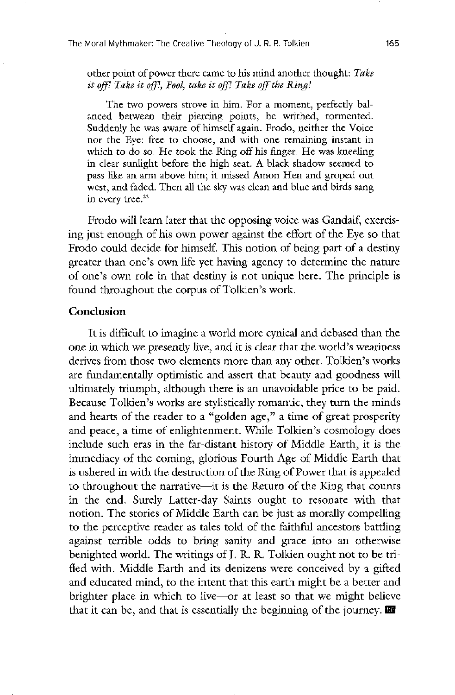other point of power there came to his mind another thought: Take it off! Take it off!, Fool, take it off! Take off the Ring

The two powers strove in him. For a moment, perfectly balanced between their piercing points, he writhed, tormented. Suddenly he was aware of himself again. Frodo, neither the Voice nor the Eye: free to choose, and with one remaining instant in which to do so. He took the Ring off his finger. He was kneeling in clear sunlight before the high seat. A black shadow seemed to pass like an arm above him; it missed Amon Hen and groped out west, and faded. Then all the sky was clean and blue and birds sang in every tree. $22$ 

Frodo will learn later that the opposing voice was Gandalf, exercising just enough of his own power against the effort of the Eye so that Frodo could decide for himself. This notion of being part of a destiny greater than one's own life yet having agency to determine the nature of one's own role in that destiny is not unique here. The principle is found throughout the corpus of Tolkien's work.

### **Conclusion**

It is difficult to imagine a world more cynical and debased than the one in which we presently live, and it is clear that the world's weariness derives from those two elements more than any other. Tolkien's works are fundamentally optimistic and assert that beauty and goodness will ultimately triumph, although there is an unavoidable price to be paid. Because Tolkien's works are stylistically romantic, they turn the minds and hearts of the reader to a "golden age," a time of great prosperity and peace, a time of enlightenment. While Tolkien's cosmology does include such eras in the far-distant history of Middle Earth, it is the immediacy of the coming, glorious Fourth Age of Middle Earth that is ushered in with the destruction of the Ring of Power that is appealed to throughout the narrative—it is the Return of the King that counts in the end. Surely Latter-day Saints ought to resonate with that notion. The stories of Middle Earth can be just as morally compelling to the perceptive reader as tales told of the faithful ancestors battling against terrible odds to bring sanity and grace into an otherwise benighted world. The writings of J. R. R. Tolkien ought not to be trifled with. Middle Earth and its denizens were conceived by a gifted and educated mind, to the intent that this earth might be a better and brighter place in which to live or at least so that we might believe that it can be, and that is essentially the beginning of the journey.  $\mathbb{R}^n$